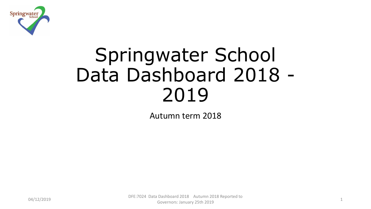

# Springwater School Data Dashboard 2018 - 2019

Autumn term 2018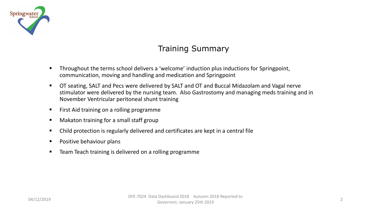

# Training Summary

- Throughout the terms school delivers a 'welcome' induction plus inductions for Springpoint, communication, moving and handling and medication and Springpoint
- OT seating, SALT and Pecs were delivered by SALT and OT and Buccal Midazolam and Vagal nerve stimulator were delivered by the nursing team. Also Gastrostomy and managing meds training and in November Ventricular peritoneal shunt training
- First Aid training on a rolling programme
- Makaton training for a small staff group
- Child protection is regularly delivered and certificates are kept in a central file
- Positive behaviour plans
- Team Teach training is delivered on a rolling programme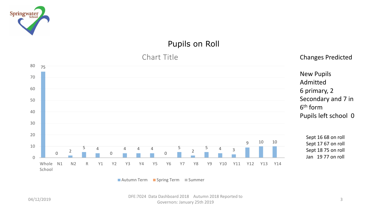

# Pupils on Roll



■ Autumn Term ■ Spring Term ■ Summer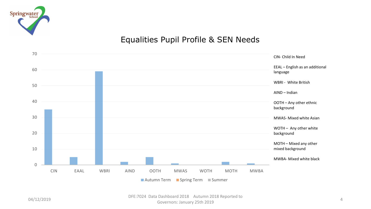

# Equalities Pupil Profile & SEN Needs

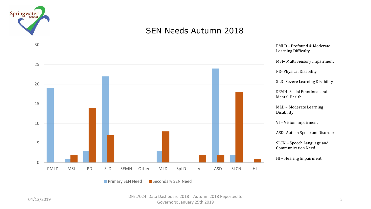

# SEN Needs Autumn 2018

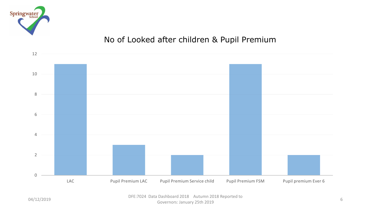

# No of Looked after children & Pupil Premium

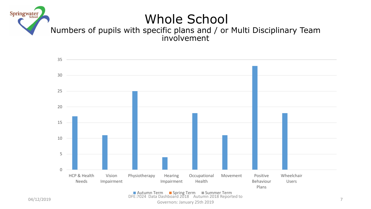



Governors: January 25th 2019 <sup>7</sup>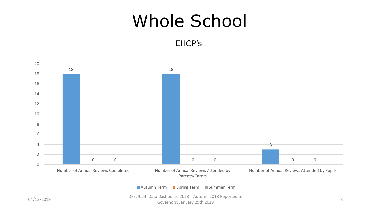# Whole School

EHCP's

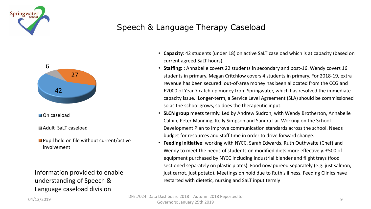

# Speech & Language Therapy Caseload



**M** On caseload

Adult SaLT caseload

**Pupil held on file without current/active** involvement

Information provided to enable understanding of Speech & Language caseload division

- **Capacity**: 42 students (under 18) on active SaLT caseload which is at capacity (based on current agreed SaLT hours).
- **Staffing: :** Annabelle covers 22 students in secondary and post-16. Wendy covers 16 students in primary. Megan Critchlow covers 4 students in primary. For 2018-19, extra revenue has been secured: out-of-area money has been allocated from the CCG and £2000 of Year 7 catch up money from Springwater, which has resolved the immediate capacity issue. Longer-term, a Service Level Agreement (SLA) should be commissioned so as the school grows, so does the therapeutic input.
- **SLCN group** meets termly. Led by Andrew Sudron, with Wendy Brotherton, Annabelle Calpin, Peter Manning, Kelly Simpson and Sandra Lai. Working on the School Development Plan to improve communication standards across the school. Needs budget for resources and staff time in order to drive forward change.
- **Feeding initiative**: working with NYCC, Sarah Edwards, Ruth Outhwaite (Chef) and Wendy to meet the needs of students on modified diets more effectively. £500 of equipment purchased by NYCC including industrial blender and flight trays (food sectioned separately on plastic plates). Food now pureed separately (e.g. just salmon, just carrot, just potato). Meetings on hold due to Ruth's illness. Feeding Clinics have restarted with dietetic, nursing and SaLT input termly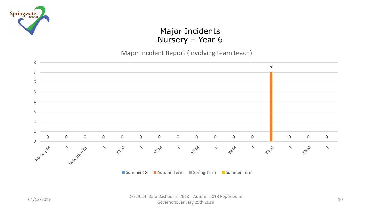

## Major Incidents Nursery – Year 6

### Major Incident Report (involving team teach)



■ Summer 18 ■ Autumn Term ■ Spring Term ■ Summer Term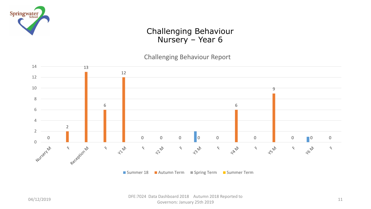

## Challenging Behaviour Nursery – Year 6

Challenging Behaviour Report



■ Summer 18 ■ Autumn Term ■ Spring Term ■ Summer Term

04/12/2019 DFE:7024 Data Dashboard 2018 Autumn 2018 Reported to a Dashboard 2016 - Adidmin 2016 Neported to 11 - 12 - 13 - 14 - 14 - 15 - 16 - 16 - 17 - 17 - 17 - 11 - 11 - 1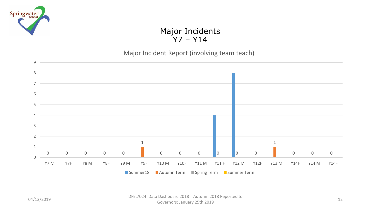

## Major Incidents Y7 – Y14

### Major Incident Report (involving team teach)

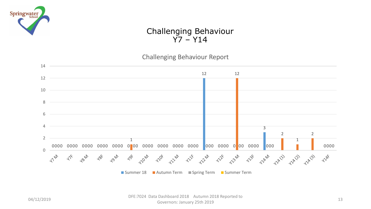

## Challenging Behaviour  $\overline{Y}$ 7 – Y14

Challenging Behaviour Report

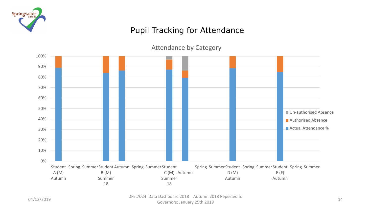

# Pupil Tracking for Attendance

Attendance by Category

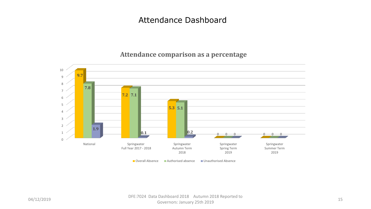## **Attendance comparison as a percentage**



#### 04/12/2019 DFE:7024 Data Dashboard 2018 Autumn 2018 Reported to a Dashboard 2016 - Addition 2016 Nepotted to 15<br>Governors: January 25th 2019 15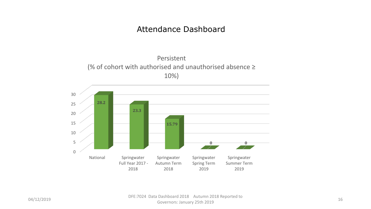



#### 04/12/2019 DFE:7024 Data Dashboard 2018 Autumn 2018 Reported to a Dashboard 2016 - Adidmin 2016 Neported to 16<br>Governors: January 25th 2019 - 16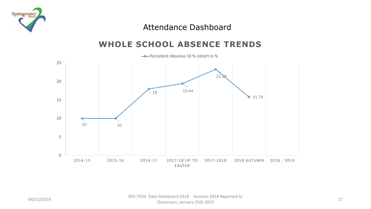

# **WHOLE SCHOOL ABSENCE TRENDS**



#### 04/12/2019 DFE:7024 Data Dashboard 2018 Autumn 2018 Reported to a Dashboard 2016 - Adidmin 2016 Reported to 1988 - 1989 - 1989 - 1989 - 1989 - 1989 - 1989 - 1989 - 1989 - 19<br>Governors: January 25th 2019